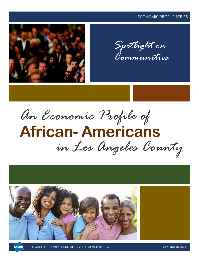#### ECONOMIC PROFILE SERIES



*Communities*



# **African- Americans** *in Los Angeles County*

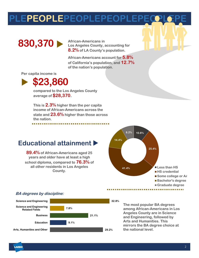EPEOPLEPEOPLEPEOPLE



**Los Angeles County, accounting for 8.2% of LA County's population.** 

**African-Americans account for 5.8% of California's population, and 12.7% of the nation's population.**

**Per capita income is**



. . . . . . . . . . . . . .

**compared to the Los Angeles County average of \$28,370.**

**This is 2.3% higher than the per capita income of African-Americans across the state and 23.6% higher than those across the nation.**

#### **Educational attainment**

**89.4% of African-Americans aged 25 years and older have at least a high school diploma, compared to 76.3% of all other residents in Los Angeles County.**



**a**





**32.8%**

**The most popular BA degrees among African-Americans in Los Angeles County are in Science and Engineering, followed by Arts and Humanities. This mirrors the BA degree choice at the national level.**

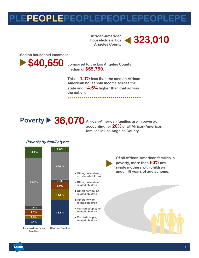### **PLEPEOPLEPEOPLEPEOPLEPEOPLEPE**

**households in Los Angeles County** 



**Median household income is**

**\$40,650** compared to the Los Angeles County

**median of \$55,750.**

**This is 4.4% less than the median African-American household income across the state and 14.6% higher than that across the nation.**



**accounting for 20% of all African-American families in Los Angeles County.**

#### **Poverty by family type:**





**Other; no husband; no related children**

- **Other; no husband; related children**
- **Other; no wife; no related children**
- **Other; no wife; related children**
- **Married couple; no related children**
- **Married couple;**

**Of all African-American families in poverty, more than 60% are single mothers with children under 18 years of age at home.** 

**families**



**a**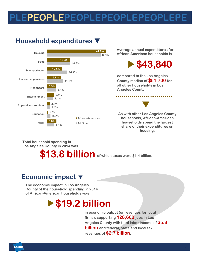### EPEOPLEPEOPLEPEOPLEPEOPLE

### **Household expenditures**



**Average annual expenditures for African American households is**



..............

**compared to the Los Angeles County median of \$51,700 for all other households in Los Angeles County.** 



**As with other Los Angeles County households, African-American households spend the largest share of their expenditures on housing.**

**Total household spending in Los Angeles County in 2014 was**

# **\$13.8 billion of which taxes were \$1.4 billion.**

#### **Economic impact**

**The economic impact in Los Angeles County of the household spending in 2014 of African-American households was**

### **\$19.2 billion**

**in economic output (or revenues for local firms), supporting 128,600 jobs in Los Angeles County with total labor income of \$5.8 billion and federal, state and local tax revenues of \$2.7 billion.**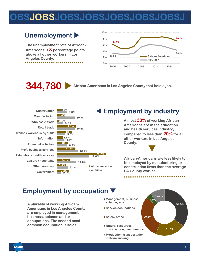### **OBSJOBSJOBSJOBSJOBSJOBSJOBSJ**

#### **Unemployment**

**The unemployment rate of African-Americans is 3 percentage points above all other workers in Los Angeles County.** 



**344,780 African-Americans in Los Angeles County that hold a job.**



#### **Employment by occupation**

**A plurality of working African-Americans in Los Angeles County are employed in management, business, science and arts occupations. The second most common occupation is sales.**

- **Management, business, science, arts**
- Service occupations
- Sales / office
- **Natural resources, construction, maintenance**
- **Production, transportation, material moving**

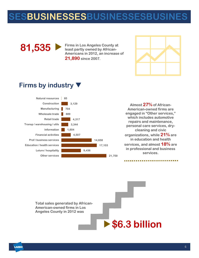### **SESBUSINESSESBUSINESSESBUSINES**



**Firms in Los Angeles County at least partly owned by African-Americans in 2012, an increase of 21,890 since 2007.**



#### **Firms by industry**



**Almost 27% of African-American-owned firms are engaged in "Other services," which includes automotive repairs and maintenance, personal care services, drycleaning and civic organizations, while 21% are in education and health services, and almost 18% are in professional and business services.**

. . . . . . . . . . . . . . . . . .

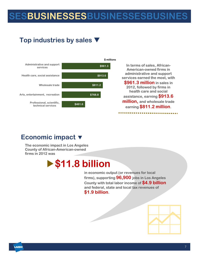# **SESBUSINESSESBUSINESSESBUSINES**

### **Top industries by sales**



#### **Economic impact**

**The economic impact in Los Angeles County of African-American-owned firms in 2012 was**

### **\$11.8 billion**

**in economic output (or revenues for local firms), supporting 96,900 jobs in Los Angeles County with total labor income of \$4.9 billion and federal, state and local tax revenues of \$1.9 billion.**

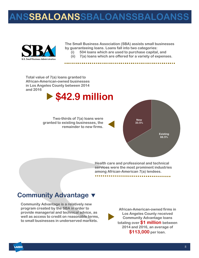### **ANSSBALOANSSBALOANSSBALOANSS**



**The Small Business Association (SBA) assists small businesses by guaranteeing loans. Loans fall into two categories: (i) 504 loans which are used to purchase capital, and** 

**(ii) 7(a) loans which are offered for a variety of expenses.** 

**Total value of 7(a) loans granted to African-American-owned businesses in Los Angeles County between 2014 and 2016**

### **\$42.9 million**

**Two-thirds of 7(a) loans were granted to existing businesses, the remainder to new firms.**



**Health care and professional and technical services were the most prominent industries among African-American 7(a) lendees.** 

#### **Community Advantage**

**Community Advantage is a relatively new program created by the SBA in order to provide managerial and technical advice, as well as access to credit on reasonable terms, to small businesses in underserved markets.**

**African-American-owned firms in Los Angeles County received Community Advantage loans totaling over \$1 million between 2014 and 2016, an average of \$113,000 per loan.**  

**LAEDC**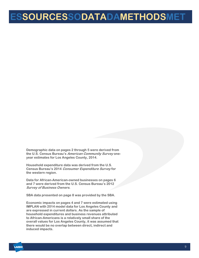### **ESSOURCESSODATADAMETHODSMET**

**Demographic data on pages 2 through 5 were derived from the U.S. Census Bureau's American Community Survey oneyear estimates for Los Angeles County, 2014.**

**Household expenditure data was derived from the U.S. Census Bureau's 2014 Consumer Expenditure Survey for the western region.**

**Data for African-American-owned businesses on pages 6 and 7 were derived from the U.S. Census Bureau's 2012 Survey of Business Owners.**

**SBA data presented on page 8 was provided by the SBA.**

**Economic impacts on pages 4 and 7 were estimated using IMPLAN with 2014 model data for Los Angeles County and are expressed in current dollars. As the sample of household expenditures and business revenues attributed to African-Americans is a relatively small share of the overall values for Los Angeles County, it was assumed that there would be no overlap between direct, indirect and induced impacts.** 

**HOD**